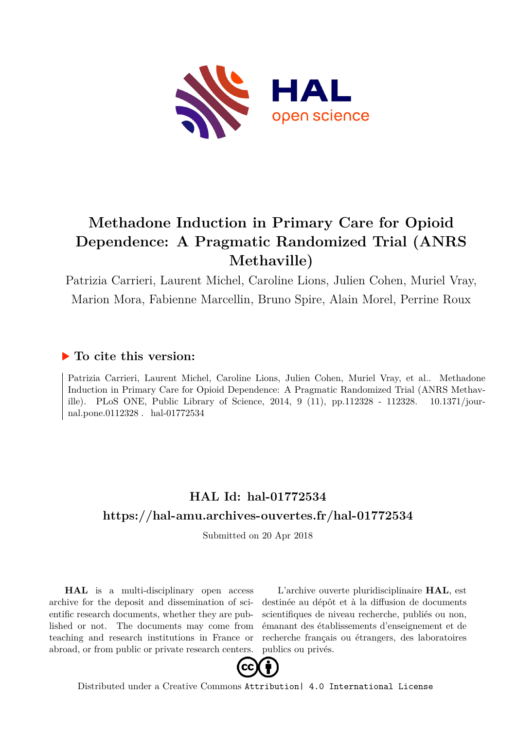

## **Methadone Induction in Primary Care for Opioid Dependence: A Pragmatic Randomized Trial (ANRS Methaville)**

Patrizia Carrieri, Laurent Michel, Caroline Lions, Julien Cohen, Muriel Vray, Marion Mora, Fabienne Marcellin, Bruno Spire, Alain Morel, Perrine Roux

### **To cite this version:**

Patrizia Carrieri, Laurent Michel, Caroline Lions, Julien Cohen, Muriel Vray, et al.. Methadone Induction in Primary Care for Opioid Dependence: A Pragmatic Randomized Trial (ANRS Methaville). PLoS ONE, Public Library of Science, 2014, 9 (11), pp.112328 - 112328. 10.1371/journal.pone.0112328 hal-01772534

### **HAL Id: hal-01772534 <https://hal-amu.archives-ouvertes.fr/hal-01772534>**

Submitted on 20 Apr 2018

**HAL** is a multi-disciplinary open access archive for the deposit and dissemination of scientific research documents, whether they are published or not. The documents may come from teaching and research institutions in France or abroad, or from public or private research centers.

L'archive ouverte pluridisciplinaire **HAL**, est destinée au dépôt et à la diffusion de documents scientifiques de niveau recherche, publiés ou non, émanant des établissements d'enseignement et de recherche français ou étrangers, des laboratoires publics ou privés.



Distributed under a Creative Commons [Attribution| 4.0 International License](http://creativecommons.org/licenses/by/4.0/)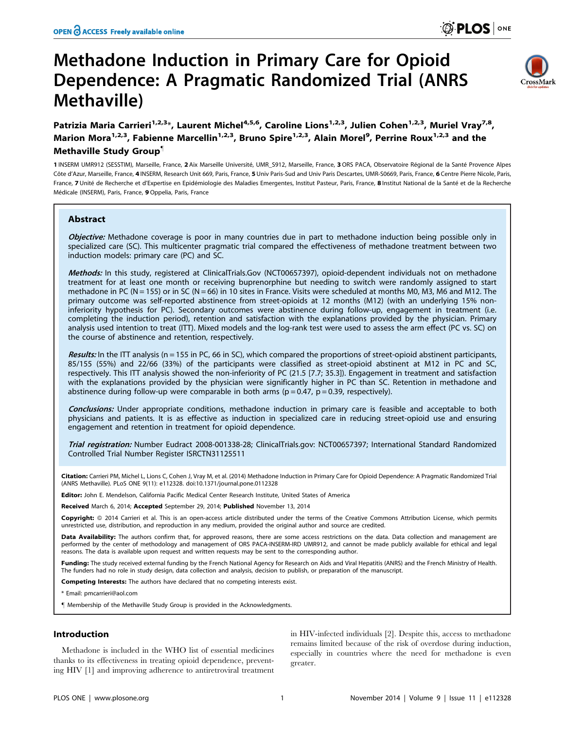# Methadone Induction in Primary Care for Opioid Dependence: A Pragmatic Randomized Trial (ANRS Methaville)



Patrizia Maria Carrieri<sup>1,2,3\*</sup>, Laurent Michel<sup>4,5,6</sup>, Caroline Lions<sup>1,2,3</sup>, Julien Cohen<sup>1,2,3</sup>, Muriel Vray<sup>7,8</sup>, Marion Mora<sup>1,2,3</sup>, Fabienne Marcellin<sup>1,2,3</sup>, Bruno Spire<sup>1,2,3</sup>, Alain Morel<sup>9</sup>, Perrine Roux<sup>1,2,3</sup> and the Methaville Study Group"

1 INSERM UMR912 (SESSTIM), Marseille, France, 2 Aix Marseille Université, UMR\_S912, Marseille, France, 3 ORS PACA, Observatoire Régional de la Santé Provence Alpes Côte d'Azur, Marseille, France, 4 INSERM, Research Unit 669, Paris, France, 5 Univ Paris-Sud and Univ Paris Descartes, UMR-S0669, Paris, France, 6 Centre Pierre Nicole, Paris, France, 7 Unité de Recherche et d'Expertise en Epidémiologie des Maladies Emergentes, Institut Pasteur, Paris, France, 8 Institut National de la Santé et de la Recherche Médicale (INSERM), Paris, France, 9 Oppelia, Paris, France

### Abstract

Objective: Methadone coverage is poor in many countries due in part to methadone induction being possible only in specialized care (SC). This multicenter pragmatic trial compared the effectiveness of methadone treatment between two induction models: primary care (PC) and SC.

Methods: In this study, registered at ClinicalTrials.Gov (NCT00657397), opioid-dependent individuals not on methadone treatment for at least one month or receiving buprenorphine but needing to switch were randomly assigned to start methadone in PC (N = 155) or in SC (N = 66) in 10 sites in France. Visits were scheduled at months M0, M3, M6 and M12. The primary outcome was self-reported abstinence from street-opioids at 12 months (M12) (with an underlying 15% noninferiority hypothesis for PC). Secondary outcomes were abstinence during follow-up, engagement in treatment (i.e. completing the induction period), retention and satisfaction with the explanations provided by the physician. Primary analysis used intention to treat (ITT). Mixed models and the log-rank test were used to assess the arm effect (PC vs. SC) on the course of abstinence and retention, respectively.

Results: In the ITT analysis (n = 155 in PC, 66 in SC), which compared the proportions of street-opioid abstinent participants, 85/155 (55%) and 22/66 (33%) of the participants were classified as street-opioid abstinent at M12 in PC and SC, respectively. This ITT analysis showed the non-inferiority of PC (21.5 [7.7; 35.3]). Engagement in treatment and satisfaction with the explanations provided by the physician were significantly higher in PC than SC. Retention in methadone and abstinence during follow-up were comparable in both arms ( $p = 0.47$ ,  $p = 0.39$ , respectively).

Conclusions: Under appropriate conditions, methadone induction in primary care is feasible and acceptable to both physicians and patients. It is as effective as induction in specialized care in reducing street-opioid use and ensuring engagement and retention in treatment for opioid dependence.

Trial registration: Number Eudract [2008-001338-28](https://eudract.ema.europa.eu/); ClinicalTrials.gov: [NCT00657397](http://clinicaltrials.gov/); International Standard Randomized Controlled Trial Number Register [ISRCTN31125511](http://www.controlled-trials.com/isrctn/)

Citation: Carrieri PM, Michel L, Lions C, Cohen J, Vray M, et al. (2014) Methadone Induction in Primary Care for Opioid Dependence: A Pragmatic Randomized Trial (ANRS Methaville). PLoS ONE 9(11): e112328. doi:10.1371/journal.pone.0112328

Editor: John E. Mendelson, California Pacific Medical Center Research Institute, United States of America

Received March 6, 2014; Accepted September 29, 2014; Published November 13, 2014

Copyright: © 2014 Carrieri et al. This is an open-access article distributed under the terms of the [Creative Commons Attribution License](http://creativecommons.org/licenses/by/4.0/), which permits unrestricted use, distribution, and reproduction in any medium, provided the original author and source are credited.

Data Availability: The authors confirm that, for approved reasons, there are some access restrictions on the data. Data collection and management are performed by the center of methodology and management of ORS PACA-INSERM-IRD UMR912, and cannot be made publicly available for ethical and legal reasons. The data is available upon request and written requests may be sent to the corresponding author.

Funding: The study received external funding by the French National Agency for Research on Aids and Viral Hepatitis (ANRS) and the French Ministry of Health. The funders had no role in study design, data collection and analysis, decision to publish, or preparation of the manuscript.

Competing Interests: The authors have declared that no competing interests exist.

\* Email: pmcarrieri@aol.com

" Membership of the Methaville Study Group is provided in the Acknowledgments.

#### Introduction

Methadone is included in the WHO list of essential medicines thanks to its effectiveness in treating opioid dependence, preventing HIV [1] and improving adherence to antiretroviral treatment in HIV-infected individuals [2]. Despite this, access to methadone remains limited because of the risk of overdose during induction, especially in countries where the need for methadone is even greater.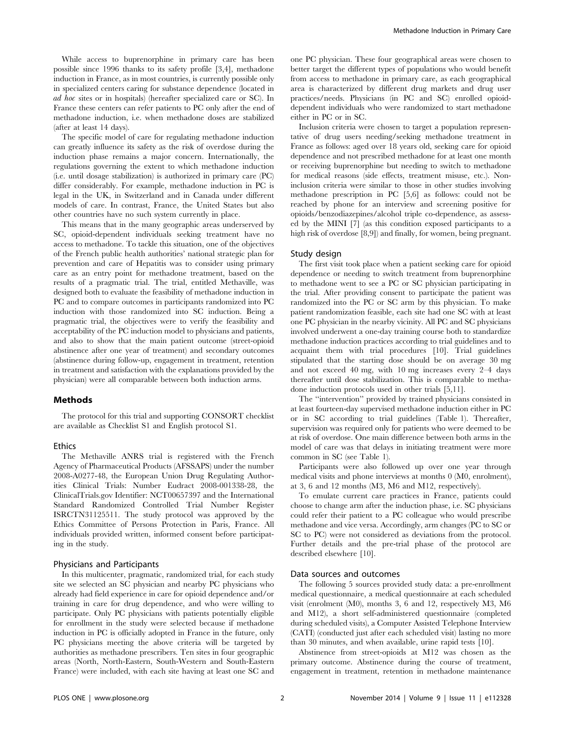While access to buprenorphine in primary care has been possible since 1996 thanks to its safety profile [3,4], methadone induction in France, as in most countries, is currently possible only in specialized centers caring for substance dependence (located in ad hoc sites or in hospitals) (hereafter specialized care or SC). In France these centers can refer patients to PC only after the end of methadone induction, i.e. when methadone doses are stabilized (after at least 14 days).

The specific model of care for regulating methadone induction can greatly influence its safety as the risk of overdose during the induction phase remains a major concern. Internationally, the regulations governing the extent to which methadone induction (i.e. until dosage stabilization) is authorized in primary care (PC) differ considerably. For example, methadone induction in PC is legal in the UK, in Switzerland and in Canada under different models of care. In contrast, France, the United States but also other countries have no such system currently in place.

This means that in the many geographic areas underserved by SC, opioid-dependent individuals seeking treatment have no access to methadone. To tackle this situation, one of the objectives of the French public health authorities' national strategic plan for prevention and care of Hepatitis was to consider using primary care as an entry point for methadone treatment, based on the results of a pragmatic trial. The trial, entitled Methaville, was designed both to evaluate the feasibility of methadone induction in PC and to compare outcomes in participants randomized into PC induction with those randomized into SC induction. Being a pragmatic trial, the objectives were to verify the feasibility and acceptability of the PC induction model to physicians and patients, and also to show that the main patient outcome (street-opioid abstinence after one year of treatment) and secondary outcomes (abstinence during follow-up, engagement in treatment, retention in treatment and satisfaction with the explanations provided by the physician) were all comparable between both induction arms.

#### Methods

The protocol for this trial and supporting CONSORT checklist are available as Checklist S1 and English protocol S1.

#### Ethics

The Methaville ANRS trial is registered with the French Agency of Pharmaceutical Products (AFSSAPS) under the number 2008-A0277-48, the European Union Drug Regulating Authorities Clinical Trials: Number Eudract 2008-001338-28, the ClinicalTrials.gov Identifier: NCT00657397 and the International Standard Randomized Controlled Trial Number Register ISRCTN31125511. The study protocol was approved by the Ethics Committee of Persons Protection in Paris, France. All individuals provided written, informed consent before participating in the study.

#### Physicians and Participants

In this multicenter, pragmatic, randomized trial, for each study site we selected an SC physician and nearby PC physicians who already had field experience in care for opioid dependence and/or training in care for drug dependence, and who were willing to participate. Only PC physicians with patients potentially eligible for enrollment in the study were selected because if methadone induction in PC is officially adopted in France in the future, only PC physicians meeting the above criteria will be targeted by authorities as methadone prescribers. Ten sites in four geographic areas (North, North-Eastern, South-Western and South-Eastern France) were included, with each site having at least one SC and one PC physician. These four geographical areas were chosen to better target the different types of populations who would benefit from access to methadone in primary care, as each geographical area is characterized by different drug markets and drug user practices/needs. Physicians (in PC and SC) enrolled opioiddependent individuals who were randomized to start methadone either in PC or in SC.

Inclusion criteria were chosen to target a population representative of drug users needing/seeking methadone treatment in France as follows: aged over 18 years old, seeking care for opioid dependence and not prescribed methadone for at least one month or receiving buprenorphine but needing to switch to methadone for medical reasons (side effects, treatment misuse, etc.). Noninclusion criteria were similar to those in other studies involving methadone prescription in PC [5,6] as follows: could not be reached by phone for an interview and screening positive for opioids/benzodiazepines/alcohol triple co-dependence, as assessed by the MINI [7] (as this condition exposed participants to a high risk of overdose [8,9]) and finally, for women, being pregnant.

#### Study design

The first visit took place when a patient seeking care for opioid dependence or needing to switch treatment from buprenorphine to methadone went to see a PC or SC physician participating in the trial. After providing consent to participate the patient was randomized into the PC or SC arm by this physician. To make patient randomization feasible, each site had one SC with at least one PC physician in the nearby vicinity. All PC and SC physicians involved underwent a one-day training course both to standardize methadone induction practices according to trial guidelines and to acquaint them with trial procedures [10]. Trial guidelines stipulated that the starting dose should be on average 30 mg and not exceed 40 mg, with 10 mg increases every 2–4 days thereafter until dose stabilization. This is comparable to methadone induction protocols used in other trials [5,11].

The ''intervention'' provided by trained physicians consisted in at least fourteen-day supervised methadone induction either in PC or in SC according to trial guidelines (Table 1). Thereafter, supervision was required only for patients who were deemed to be at risk of overdose. One main difference between both arms in the model of care was that delays in initiating treatment were more common in SC (see Table 1).

Participants were also followed up over one year through medical visits and phone interviews at months 0 (M0, enrolment), at 3, 6 and 12 months (M3, M6 and M12, respectively).

To emulate current care practices in France, patients could choose to change arm after the induction phase, i.e. SC physicians could refer their patient to a PC colleague who would prescribe methadone and vice versa. Accordingly, arm changes (PC to SC or SC to PC) were not considered as deviations from the protocol. Further details and the pre-trial phase of the protocol are described elsewhere [10].

#### Data sources and outcomes

The following 5 sources provided study data: a pre-enrollment medical questionnaire, a medical questionnaire at each scheduled visit (enrolment (M0), months 3, 6 and 12, respectively M3, M6 and M12), a short self-administered questionnaire (completed during scheduled visits), a Computer Assisted Telephone Interview (CATI) (conducted just after each scheduled visit) lasting no more than 30 minutes, and when available, urine rapid tests [10].

Abstinence from street-opioids at M12 was chosen as the primary outcome. Abstinence during the course of treatment, engagement in treatment, retention in methadone maintenance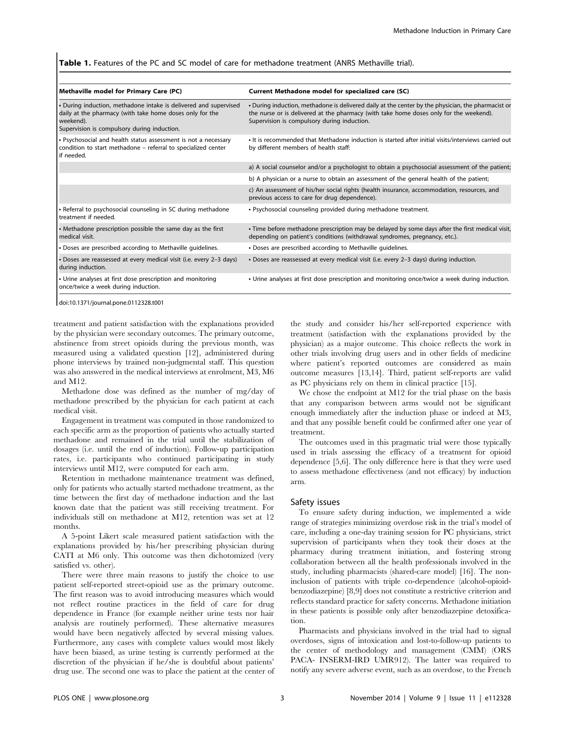#### Table 1. Features of the PC and SC model of care for methadone treatment (ANRS Methaville trial).

| Methaville model for Primary Care (PC)                                                                                                                                                   | Current Methadone model for specialized care (SC)                                                                                                                                                                                           |
|------------------------------------------------------------------------------------------------------------------------------------------------------------------------------------------|---------------------------------------------------------------------------------------------------------------------------------------------------------------------------------------------------------------------------------------------|
| • During induction, methadone intake is delivered and supervised<br>daily at the pharmacy (with take home doses only for the<br>weekend).<br>Supervision is compulsory during induction. | . During induction, methadone is delivered daily at the center by the physician, the pharmacist or<br>the nurse or is delivered at the pharmacy (with take home doses only for the weekend).<br>Supervision is compulsory during induction. |
| • Psychosocial and health status assessment is not a necessary<br>condition to start methadone - referral to specialized center<br>l if needed.                                          | • It is recommended that Methadone induction is started after initial visits/interviews carried out<br>by different members of health staff:                                                                                                |
|                                                                                                                                                                                          | a) A social counselor and/or a psychologist to obtain a psychosocial assessment of the patient;                                                                                                                                             |
|                                                                                                                                                                                          | b) A physician or a nurse to obtain an assessment of the general health of the patient;                                                                                                                                                     |
|                                                                                                                                                                                          | c) An assessment of his/her social rights (health insurance, accommodation, resources, and<br>previous access to care for drug dependence).                                                                                                 |
| • Referral to psychosocial counseling in SC during methadone<br>treatment if needed.                                                                                                     | · Psychosocial counseling provided during methadone treatment.                                                                                                                                                                              |
| • Methadone prescription possible the same day as the first<br>medical visit.                                                                                                            | • Time before methadone prescription may be delayed by some days after the first medical visit,<br>depending on patient's conditions (withdrawal syndromes, pregnancy, etc.).                                                               |
| . Doses are prescribed according to Methaville guidelines.                                                                                                                               | • Doses are prescribed according to Methaville guidelines.                                                                                                                                                                                  |
| • Doses are reassessed at every medical visit (i.e. every 2-3 days)<br>during induction.                                                                                                 | . Doses are reassessed at every medical visit (i.e. every 2-3 days) during induction.                                                                                                                                                       |
| • Urine analyses at first dose prescription and monitoring<br>once/twice a week during induction.                                                                                        | • Urine analyses at first dose prescription and monitoring once/twice a week during induction.                                                                                                                                              |
|                                                                                                                                                                                          |                                                                                                                                                                                                                                             |

doi:10.1371/journal.pone.0112328.t001

treatment and patient satisfaction with the explanations provided by the physician were secondary outcomes. The primary outcome, abstinence from street opioids during the previous month, was measured using a validated question [12], administered during phone interviews by trained non-judgmental staff. This question was also answered in the medical interviews at enrolment, M3, M6 and M12.

Methadone dose was defined as the number of mg/day of methadone prescribed by the physician for each patient at each medical visit.

Engagement in treatment was computed in those randomized to each specific arm as the proportion of patients who actually started methadone and remained in the trial until the stabilization of dosages (i.e. until the end of induction). Follow-up participation rates, i.e. participants who continued participating in study interviews until M12, were computed for each arm.

Retention in methadone maintenance treatment was defined, only for patients who actually started methadone treatment, as the time between the first day of methadone induction and the last known date that the patient was still receiving treatment. For individuals still on methadone at M12, retention was set at 12 months.

A 5-point Likert scale measured patient satisfaction with the explanations provided by his/her prescribing physician during CATI at M6 only. This outcome was then dichotomized (very satisfied vs. other).

There were three main reasons to justify the choice to use patient self-reported street-opioid use as the primary outcome. The first reason was to avoid introducing measures which would not reflect routine practices in the field of care for drug dependence in France (for example neither urine tests nor hair analysis are routinely performed). These alternative measures would have been negatively affected by several missing values. Furthermore, any cases with complete values would most likely have been biased, as urine testing is currently performed at the discretion of the physician if he/she is doubtful about patients' drug use. The second one was to place the patient at the center of the study and consider his/her self-reported experience with treatment (satisfaction with the explanations provided by the physician) as a major outcome. This choice reflects the work in other trials involving drug users and in other fields of medicine where patient's reported outcomes are considered as main outcome measures [13,14]. Third, patient self-reports are valid as PC physicians rely on them in clinical practice [15].

We chose the endpoint at M12 for the trial phase on the basis that any comparison between arms would not be significant enough immediately after the induction phase or indeed at M3, and that any possible benefit could be confirmed after one year of treatment.

The outcomes used in this pragmatic trial were those typically used in trials assessing the efficacy of a treatment for opioid dependence [5,6]. The only difference here is that they were used to assess methadone effectiveness (and not efficacy) by induction arm.

#### Safety issues

To ensure safety during induction, we implemented a wide range of strategies minimizing overdose risk in the trial's model of care, including a one-day training session for PC physicians, strict supervision of participants when they took their doses at the pharmacy during treatment initiation, and fostering strong collaboration between all the health professionals involved in the study, including pharmacists (shared-care model) [16]. The noninclusion of patients with triple co-dependence (alcohol-opioidbenzodiazepine) [8,9] does not constitute a restrictive criterion and reflects standard practice for safety concerns. Methadone initiation in these patients is possible only after benzodiazepine detoxification.

Pharmacists and physicians involved in the trial had to signal overdoses, signs of intoxication and lost-to-follow-up patients to the center of methodology and management (CMM) (ORS PACA- INSERM-IRD UMR912). The latter was required to notify any severe adverse event, such as an overdose, to the French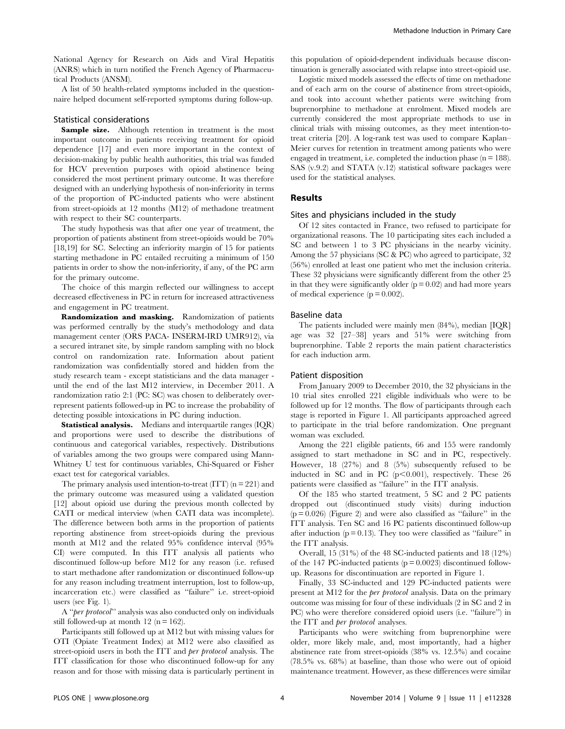National Agency for Research on Aids and Viral Hepatitis (ANRS) which in turn notified the French Agency of Pharmaceutical Products (ANSM).

A list of 50 health-related symptoms included in the questionnaire helped document self-reported symptoms during follow-up.

#### Statistical considerations

Sample size. Although retention in treatment is the most important outcome in patients receiving treatment for opioid dependence [17] and even more important in the context of decision-making by public health authorities, this trial was funded for HCV prevention purposes with opioid abstinence being considered the most pertinent primary outcome. It was therefore designed with an underlying hypothesis of non-inferiority in terms of the proportion of PC-inducted patients who were abstinent from street-opioids at 12 months (M12) of methadone treatment with respect to their SC counterparts.

The study hypothesis was that after one year of treatment, the proportion of patients abstinent from street-opioids would be 70% [18,19] for SC. Selecting an inferiority margin of 15 for patients starting methadone in PC entailed recruiting a minimum of 150 patients in order to show the non-inferiority, if any, of the PC arm for the primary outcome.

The choice of this margin reflected our willingness to accept decreased effectiveness in PC in return for increased attractiveness and engagement in PC treatment.

Randomization and masking. Randomization of patients was performed centrally by the study's methodology and data management center (ORS PACA- INSERM-IRD UMR912), via a secured intranet site, by simple random sampling with no block control on randomization rate. Information about patient randomization was confidentially stored and hidden from the study research team - except statisticians and the data manager until the end of the last M12 interview, in December 2011. A randomization ratio 2:1 (PC: SC) was chosen to deliberately overrepresent patients followed-up in PC to increase the probability of detecting possible intoxications in PC during induction.

Statistical analysis. Medians and interquartile ranges (IQR) and proportions were used to describe the distributions of continuous and categorical variables, respectively. Distributions of variables among the two groups were compared using Mann-Whitney U test for continuous variables, Chi-Squared or Fisher exact test for categorical variables.

The primary analysis used intention-to-treat  $(TTT)$  (n = 221) and the primary outcome was measured using a validated question [12] about opioid use during the previous month collected by CATI or medical interview (when CATI data was incomplete). The difference between both arms in the proportion of patients reporting abstinence from street-opioids during the previous month at M12 and the related 95% confidence interval (95% CI) were computed. In this ITT analysis all patients who discontinued follow-up before M12 for any reason (i.e. refused to start methadone after randomization or discontinued follow-up for any reason including treatment interruption, lost to follow-up, incarceration etc.) were classified as ''failure'' i.e. street-opioid users (see Fig. 1).

A ''per protocol'' analysis was also conducted only on individuals still followed-up at month 12 ( $n = 162$ ).

Participants still followed up at M12 but with missing values for OTI (Opiate Treatment Index) at M12 were also classified as street-opioid users in both the ITT and per protocol analysis. The ITT classification for those who discontinued follow-up for any reason and for those with missing data is particularly pertinent in this population of opioid-dependent individuals because discontinuation is generally associated with relapse into street-opioid use.

Logistic mixed models assessed the effects of time on methadone and of each arm on the course of abstinence from street-opioids, and took into account whether patients were switching from buprenorphine to methadone at enrolment. Mixed models are currently considered the most appropriate methods to use in clinical trials with missing outcomes, as they meet intention-totreat criteria [20]. A log-rank test was used to compare Kaplan– Meier curves for retention in treatment among patients who were engaged in treatment, i.e. completed the induction phase  $(n = 188)$ . SAS (v.9.2) and STATA (v.12) statistical software packages were used for the statistical analyses.

#### Results

#### Sites and physicians included in the study

Of 12 sites contacted in France, two refused to participate for organizational reasons. The 10 participating sites each included a SC and between 1 to 3 PC physicians in the nearby vicinity. Among the 57 physicians (SC & PC) who agreed to participate, 32 (56%) enrolled at least one patient who met the inclusion criteria. These 32 physicians were significantly different from the other 25 in that they were significantly older  $(p = 0.02)$  and had more years of medical experience  $(p = 0.002)$ .

#### Baseline data

The patients included were mainly men (84%), median [IQR] age was 32 [27–38] years and 51% were switching from buprenorphine. Table 2 reports the main patient characteristics for each induction arm.

#### Patient disposition

From January 2009 to December 2010, the 32 physicians in the 10 trial sites enrolled 221 eligible individuals who were to be followed up for 12 months. The flow of participants through each stage is reported in Figure 1. All participants approached agreed to participate in the trial before randomization. One pregnant woman was excluded.

Among the 221 eligible patients, 66 and 155 were randomly assigned to start methadone in SC and in PC, respectively. However, 18 (27%) and 8 (5%) subsequently refused to be inducted in SC and in PC  $(p<0.001)$ , respectively. These 26 patients were classified as ''failure'' in the ITT analysis.

Of the 185 who started treatment, 5 SC and 2 PC patients dropped out (discontinued study visits) during induction  $(p = 0.026)$  (Figure 2) and were also classified as "failure" in the ITT analysis. Ten SC and 16 PC patients discontinued follow-up after induction  $(p = 0.13)$ . They too were classified as "failure" in the ITT analysis.

Overall, 15 (31%) of the 48 SC-inducted patients and 18 (12%) of the 147 PC-inducted patients  $(p = 0.0023)$  discontinued followup. Reasons for discontinuation are reported in Figure 1.

Finally, 33 SC-inducted and 129 PC-inducted patients were present at M12 for the per protocol analysis. Data on the primary outcome was missing for four of these individuals (2 in SC and 2 in PC) who were therefore considered opioid users (i.e. ''failure'') in the ITT and per protocol analyses.

Participants who were switching from buprenorphine were older, more likely male, and, most importantly, had a higher abstinence rate from street-opioids (38% vs. 12.5%) and cocaine (78.5% vs. 68%) at baseline, than those who were out of opioid maintenance treatment. However, as these differences were similar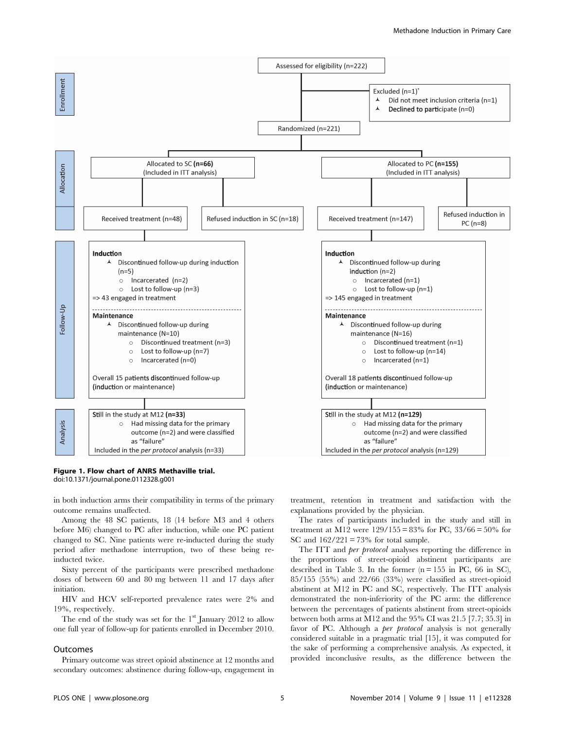

Figure 1. Flow chart of ANRS Methaville trial. doi:10.1371/journal.pone.0112328.g001

in both induction arms their compatibility in terms of the primary outcome remains unaffected.

Among the 48 SC patients, 18 (14 before M3 and 4 others before M6) changed to PC after induction, while one PC patient changed to SC. Nine patients were re-inducted during the study period after methadone interruption, two of these being reinducted twice.

Sixty percent of the participants were prescribed methadone doses of between 60 and 80 mg between 11 and 17 days after initiation.

HIV and HCV self-reported prevalence rates were 2% and 19%, respectively.

The end of the study was set for the  $1<sup>st</sup>$  January 2012 to allow one full year of follow-up for patients enrolled in December 2010.

#### Outcomes

Primary outcome was street opioid abstinence at 12 months and secondary outcomes: abstinence during follow-up, engagement in treatment, retention in treatment and satisfaction with the explanations provided by the physician.

The rates of participants included in the study and still in treatment at M12 were  $129/155 = 83\%$  for PC,  $33/66 = 50\%$  for SC and  $162/221 = 73\%$  for total sample.

The ITT and *per protocol* analyses reporting the difference in the proportions of street-opioid abstinent participants are described in Table 3. In the former  $(n = 155$  in PC, 66 in SC), 85/155 (55%) and 22/66 (33%) were classified as street-opioid abstinent at M12 in PC and SC, respectively. The ITT analysis demonstrated the non-inferiority of the PC arm: the difference between the percentages of patients abstinent from street-opioids between both arms at M12 and the 95% CI was 21.5 [7.7; 35.3] in favor of PC. Although a *per protocol* analysis is not generally considered suitable in a pragmatic trial [15], it was computed for the sake of performing a comprehensive analysis. As expected, it provided inconclusive results, as the difference between the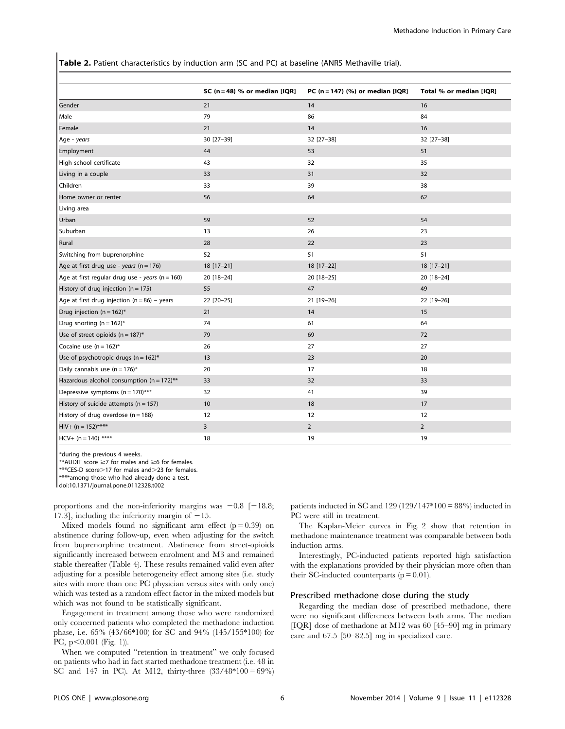Table 2. Patient characteristics by induction arm (SC and PC) at baseline (ANRS Methaville trial).

| SC $(n=48)$ % or median $[IQR]$ | PC ( $n = 147$ ) (%) or median [IQR] | Total % or median [IQR] |
|---------------------------------|--------------------------------------|-------------------------|
| 21                              | 14                                   | 16                      |
| 79                              | 86                                   | 84                      |
| 21                              | 14                                   | 16                      |
| 30 [27-39]                      | 32 [27-38]                           | 32 [27-38]              |
| 44                              | 53                                   | 51                      |
| 43                              | 32                                   | 35                      |
| 33                              | 31                                   | 32                      |
| 33                              | 39                                   | 38                      |
| 56                              | 64                                   | 62                      |
|                                 |                                      |                         |
| 59                              | 52                                   | 54                      |
| 13                              | 26                                   | 23                      |
| 28                              | 22                                   | 23                      |
| 52                              | 51                                   | 51                      |
| 18 [17-21]                      | 18 [17-22]                           | 18 [17-21]              |
| 20 [18-24]                      | 20 [18-25]                           | 20 [18-24]              |
| 55                              | 47                                   | 49                      |
| 22 [20-25]                      | 21 [19-26]                           | 22 [19-26]              |
| 21                              | 14                                   | 15                      |
| 74                              | 61                                   | 64                      |
| 79                              | 69                                   | 72                      |
| 26                              | 27                                   | 27                      |
| 13                              | 23                                   | 20                      |
| 20                              | 17                                   | 18                      |
| 33                              | 32                                   | 33                      |
| 32                              | 41                                   | 39                      |
| 10                              | 18                                   | 17                      |
| 12                              | 12                                   | 12                      |
| $\overline{3}$                  | $\overline{2}$                       | $\overline{2}$          |
| 18                              | 19                                   | 19                      |
|                                 |                                      |                         |

\*during the previous 4 weeks.

\*\*AUDIT score  $\geq$ 7 for males and  $\geq$ 6 for females.

\*\*\*CES-D score>17 for males and>23 for females.

\*\*\*\*among those who had already done a test.

doi:10.1371/journal.pone.0112328.t002

proportions and the non-inferiority margins was  $-0.8$  [ $-18.8$ ; 17.3], including the inferiority margin of  $-15$ .

Mixed models found no significant arm effect  $(p = 0.39)$  on abstinence during follow-up, even when adjusting for the switch from buprenorphine treatment. Abstinence from street-opioids significantly increased between enrolment and M3 and remained stable thereafter (Table 4). These results remained valid even after adjusting for a possible heterogeneity effect among sites (i.e. study sites with more than one PC physician versus sites with only one) which was tested as a random effect factor in the mixed models but which was not found to be statistically significant.

Engagement in treatment among those who were randomized only concerned patients who completed the methadone induction phase, i.e. 65% (43/66\*100) for SC and 94% (145/155\*100) for PC,  $p<0.001$  (Fig. 1)).

When we computed ''retention in treatment'' we only focused on patients who had in fact started methadone treatment (i.e. 48 in SC and 147 in PC). At M12, thirty-three (33/48\*100 = 69%)

patients inducted in SC and  $129(129/147*100 = 88%)$  inducted in PC were still in treatment.

The Kaplan-Meier curves in Fig. 2 show that retention in methadone maintenance treatment was comparable between both induction arms.

Interestingly, PC-inducted patients reported high satisfaction with the explanations provided by their physician more often than their SC-inducted counterparts  $(p = 0.01)$ .

#### Prescribed methadone dose during the study

Regarding the median dose of prescribed methadone, there were no significant differences between both arms. The median [IQR] dose of methadone at M12 was 60 [45–90] mg in primary care and 67.5 [50–82.5] mg in specialized care.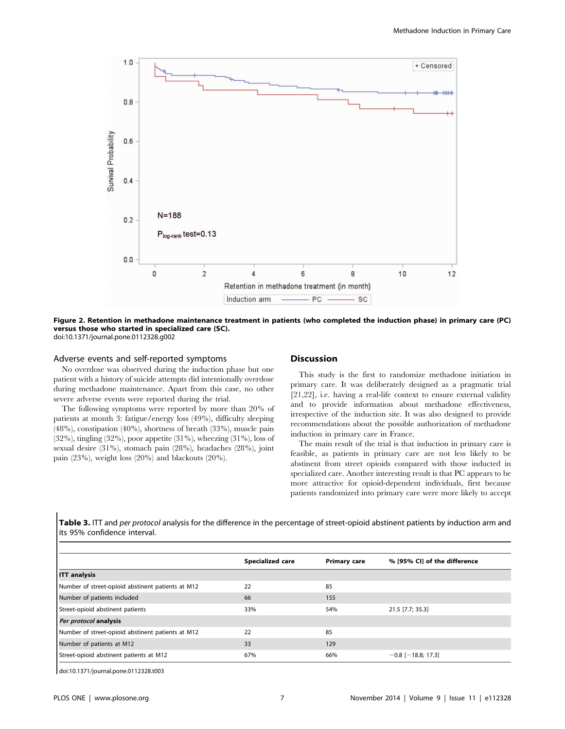

Figure 2. Retention in methadone maintenance treatment in patients (who completed the induction phase) in primary care (PC) versus those who started in specialized care (SC).

doi:10.1371/journal.pone.0112328.g002

#### Adverse events and self-reported symptoms

No overdose was observed during the induction phase but one patient with a history of suicide attempts did intentionally overdose during methadone maintenance. Apart from this case, no other severe adverse events were reported during the trial.

The following symptoms were reported by more than 20% of patients at month 3: fatigue/energy loss (49%), difficulty sleeping (48%), constipation (40%), shortness of breath (33%), muscle pain (32%), tingling (32%), poor appetite (31%), wheezing (31%), loss of sexual desire (31%), stomach pain (28%), headaches (28%), joint pain (23%), weight loss (20%) and blackouts (20%).

#### Discussion

This study is the first to randomize methadone initiation in primary care. It was deliberately designed as a pragmatic trial [21,22], i.e. having a real-life context to ensure external validity and to provide information about methadone effectiveness, irrespective of the induction site. It was also designed to provide recommendations about the possible authorization of methadone induction in primary care in France.

The main result of the trial is that induction in primary care is feasible, as patients in primary care are not less likely to be abstinent from street opioids compared with those inducted in specialized care. Another interesting result is that PC appears to be more attractive for opioid-dependent individuals, first because patients randomized into primary care were more likely to accept

Table 3. ITT and per protocol analysis for the difference in the percentage of street-opioid abstinent patients by induction arm and its 95% confidence interval.

|                                                   | <b>Specialized care</b> | <b>Primary care</b> | % [95% CI] of the difference |
|---------------------------------------------------|-------------------------|---------------------|------------------------------|
| <b>ITT analysis</b>                               |                         |                     |                              |
| Number of street-opioid abstinent patients at M12 | 22                      | 85                  |                              |
| Number of patients included                       | 66                      | 155                 |                              |
| Street-opioid abstinent patients                  | 33%                     | 54%                 | 21.5 [7.7; 35.3]             |
| Per protocol analysis                             |                         |                     |                              |
| Number of street-opioid abstinent patients at M12 | 22                      | 85                  |                              |
| Number of patients at M12                         | 33                      | 129                 |                              |
| Street-opioid abstinent patients at M12           | 67%                     | 66%                 | $-0.8$ [ $-18.8$ ; 17.3]     |
|                                                   |                         |                     |                              |

doi:10.1371/journal.pone.0112328.t003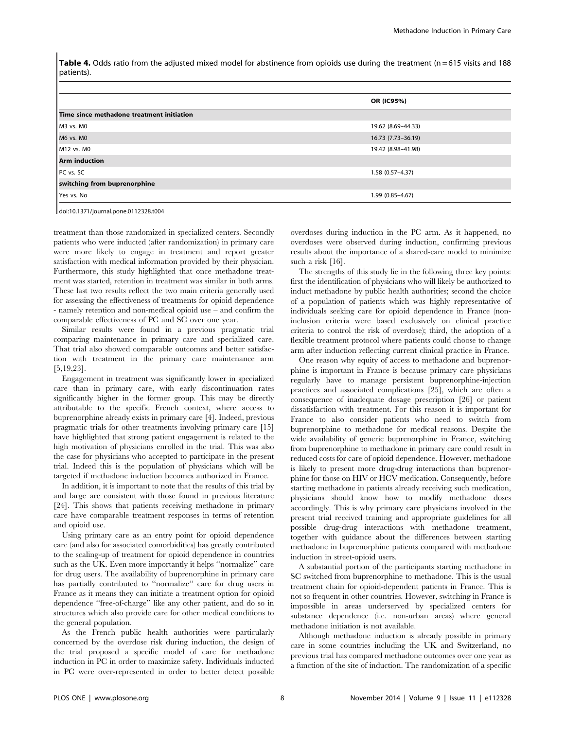Table 4. Odds ratio from the adjusted mixed model for abstinence from opioids use during the treatment ( $n = 615$  visits and 188 patients).

|                                           | <b>OR (IC95%)</b>   |  |  |  |
|-------------------------------------------|---------------------|--|--|--|
| Time since methadone treatment initiation |                     |  |  |  |
| M3 vs. M0                                 | 19.62 (8.69-44.33)  |  |  |  |
| M6 vs. M0                                 | 16.73 (7.73-36.19)  |  |  |  |
| M12 vs. M0                                | 19.42 (8.98-41.98)  |  |  |  |
| <b>Arm induction</b>                      |                     |  |  |  |
| PC vs. SC                                 | $1.58(0.57 - 4.37)$ |  |  |  |
| switching from buprenorphine              |                     |  |  |  |
| Yes vs. No                                | $1.99(0.85 - 4.67)$ |  |  |  |
|                                           |                     |  |  |  |

doi:10.1371/journal.pone.0112328.t004

treatment than those randomized in specialized centers. Secondly patients who were inducted (after randomization) in primary care were more likely to engage in treatment and report greater satisfaction with medical information provided by their physician. Furthermore, this study highlighted that once methadone treatment was started, retention in treatment was similar in both arms. These last two results reflect the two main criteria generally used for assessing the effectiveness of treatments for opioid dependence - namely retention and non-medical opioid use – and confirm the comparable effectiveness of PC and SC over one year.

Similar results were found in a previous pragmatic trial comparing maintenance in primary care and specialized care. That trial also showed comparable outcomes and better satisfaction with treatment in the primary care maintenance arm [5,19,23].

Engagement in treatment was significantly lower in specialized care than in primary care, with early discontinuation rates significantly higher in the former group. This may be directly attributable to the specific French context, where access to buprenorphine already exists in primary care [4]. Indeed, previous pragmatic trials for other treatments involving primary care [15] have highlighted that strong patient engagement is related to the high motivation of physicians enrolled in the trial. This was also the case for physicians who accepted to participate in the present trial. Indeed this is the population of physicians which will be targeted if methadone induction becomes authorized in France.

In addition, it is important to note that the results of this trial by and large are consistent with those found in previous literature [24]. This shows that patients receiving methadone in primary care have comparable treatment responses in terms of retention and opioid use.

Using primary care as an entry point for opioid dependence care (and also for associated comorbidities) has greatly contributed to the scaling-up of treatment for opioid dependence in countries such as the UK. Even more importantly it helps "normalize" care for drug users. The availability of buprenorphine in primary care has partially contributed to ''normalize'' care for drug users in France as it means they can initiate a treatment option for opioid dependence ''free-of-charge'' like any other patient, and do so in structures which also provide care for other medical conditions to the general population.

As the French public health authorities were particularly concerned by the overdose risk during induction, the design of the trial proposed a specific model of care for methadone induction in PC in order to maximize safety. Individuals inducted in PC were over-represented in order to better detect possible

overdoses during induction in the PC arm. As it happened, no overdoses were observed during induction, confirming previous results about the importance of a shared-care model to minimize such a risk [16].

The strengths of this study lie in the following three key points: first the identification of physicians who will likely be authorized to induct methadone by public health authorities; second the choice of a population of patients which was highly representative of individuals seeking care for opioid dependence in France (noninclusion criteria were based exclusively on clinical practice criteria to control the risk of overdose); third, the adoption of a flexible treatment protocol where patients could choose to change arm after induction reflecting current clinical practice in France.

One reason why equity of access to methadone and buprenorphine is important in France is because primary care physicians regularly have to manage persistent buprenorphine-injection practices and associated complications [25], which are often a consequence of inadequate dosage prescription [26] or patient dissatisfaction with treatment. For this reason it is important for France to also consider patients who need to switch from buprenorphine to methadone for medical reasons. Despite the wide availability of generic buprenorphine in France, switching from buprenorphine to methadone in primary care could result in reduced costs for care of opioid dependence. However, methadone is likely to present more drug-drug interactions than buprenorphine for those on HIV or HCV medication. Consequently, before starting methadone in patients already receiving such medication, physicians should know how to modify methadone doses accordingly. This is why primary care physicians involved in the present trial received training and appropriate guidelines for all possible drug-drug interactions with methadone treatment, together with guidance about the differences between starting methadone in buprenorphine patients compared with methadone induction in street-opioid users.

A substantial portion of the participants starting methadone in SC switched from buprenorphine to methadone. This is the usual treatment chain for opioid-dependent patients in France. This is not so frequent in other countries. However, switching in France is impossible in areas underserved by specialized centers for substance dependence (i.e. non-urban areas) where general methadone initiation is not available.

Although methadone induction is already possible in primary care in some countries including the UK and Switzerland, no previous trial has compared methadone outcomes over one year as a function of the site of induction. The randomization of a specific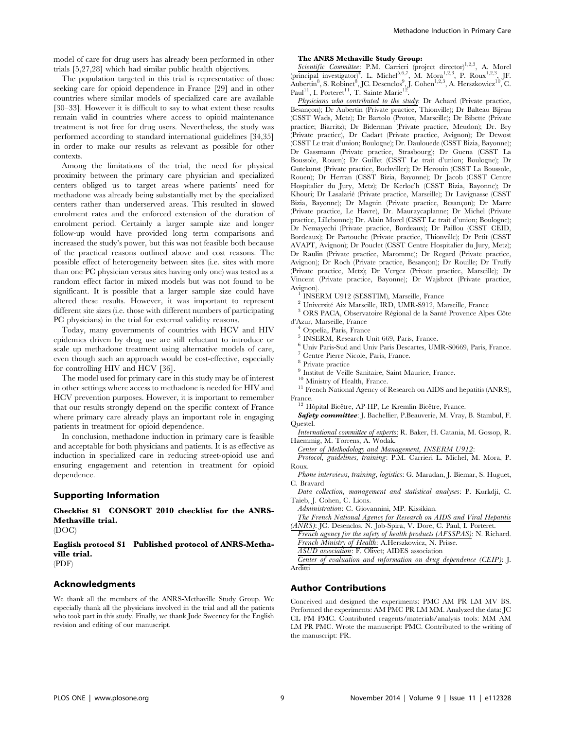model of care for drug users has already been performed in other trials [5,27,28] which had similar public health objectives.

The population targeted in this trial is representative of those seeking care for opioid dependence in France [29] and in other countries where similar models of specialized care are available [30–33]. However it is difficult to say to what extent these results remain valid in countries where access to opioid maintenance treatment is not free for drug users. Nevertheless, the study was performed according to standard international guidelines [34,35] in order to make our results as relevant as possible for other contexts.

Among the limitations of the trial, the need for physical proximity between the primary care physician and specialized centers obliged us to target areas where patients' need for methadone was already being substantially met by the specialized centers rather than underserved areas. This resulted in slowed enrolment rates and the enforced extension of the duration of enrolment period. Certainly a larger sample size and longer follow-up would have provided long term comparisons and increased the study's power, but this was not feasible both because of the practical reasons outlined above and cost reasons. The possible effect of heterogeneity between sites (i.e. sites with more than one PC physician versus sites having only one) was tested as a random effect factor in mixed models but was not found to be significant. It is possible that a larger sample size could have altered these results. However, it was important to represent different site sizes (i.e. those with different numbers of participating PC physicians) in the trial for external validity reasons.

Today, many governments of countries with HCV and HIV epidemics driven by drug use are still reluctant to introduce or scale up methadone treatment using alternative models of care, even though such an approach would be cost-effective, especially for controlling HIV and HCV [36].

The model used for primary care in this study may be of interest in other settings where access to methadone is needed for HIV and HCV prevention purposes. However, it is important to remember that our results strongly depend on the specific context of France where primary care already plays an important role in engaging patients in treatment for opioid dependence.

In conclusion, methadone induction in primary care is feasible and acceptable for both physicians and patients. It is as effective as induction in specialized care in reducing street-opioid use and ensuring engagement and retention in treatment for opioid dependence.

#### Supporting Information

Checklist S1 CONSORT 2010 checklist for the ANRS-Methaville trial. (DOC)

English protocol S1 Published protocol of ANRS-Methaville trial. (PDF)

#### Acknowledgments

We thank all the members of the ANRS-Methaville Study Group. We especially thank all the physicians involved in the trial and all the patients who took part in this study. Finally, we thank Jude Sweeney for the English revision and editing of our manuscript.

#### The ANRS Methaville Study Group:

Scientific Committee: P.M. Carrieri (project director)<sup>1,2,3</sup>, A. Morel (principal investigator)<sup>4</sup>, L. Michel<sup>5,6,7</sup>, M. Mora<sup>1,2,3</sup>, P. Roux<sup>1,2,3</sup>, JF.  $\text{Aubertin}^8$ , S. Robinet $^8$ , JC. Desenclos<sup>9</sup>, J. Cohen<sup>1,2,3</sup>, A. Herszkowicz<sup>10</sup>, C. Paul<sup>11</sup>, I. Porteret<sup>11</sup>, T. Sainte Marie<sup>12</sup>.

Physicians who contributed to the study: Dr Achard (Private practice, Besançon); Dr Aubertin (Private practice, Thionville); Dr Balteau Bijeau (CSST Wads, Metz); Dr Bartolo (Protox, Marseille); Dr Bibette (Private practice; Biarritz); Dr Biderman (Private practice, Meudon); Dr. Bry (Private practice), Dr Cadart (Private practice, Avignon); Dr Dewost (CSST Le trait d'union; Boulogne); Dr. Daulouede (CSST Bizia, Bayonne); Dr Gassmann (Private practice, Strasbourg); Dr Guena (CSST La Boussole, Rouen); Dr Guillet (CSST Le trait d'union; Boulogne); Dr Gutekunst (Private practice, Buchviller); Dr Herouin (CSST La Boussole, Rouen); Dr Herran (CSST Bizia, Bayonne); Dr Jacob (CSST Centre Hospitalier du Jury, Metz); Dr Kerloc'h (CSST Bizia, Bayonne); Dr Khouri; Dr Lasalarie´ (Private practice, Marseille); Dr Lavignasse (CSST Bizia, Bayonne); Dr Magnin (Private practice, Besançon); Dr Marre (Private practice, Le Havre), Dr. Mauraycaplanne; Dr Michel (Private practice, Lillebonne); Dr. Alain Morel (CSST Le trait d'union; Boulogne); Dr Nemayechi (Private practice, Bordeaux); Dr Paillou (CSST CEID, Bordeaux); Dr Partouche (Private practice, Thionville); Dr Petit (CSST AVAPT, Avignon); Dr Pouclet (CSST Centre Hospitalier du Jury, Metz); Dr Raulin (Private practice, Maromme); Dr Regard (Private practice, Avignon); Dr Roch (Private practice, Besançon); Dr Rouille; Dr Truffy (Private practice, Metz); Dr Vergez (Private practice, Marseille); Dr Vincent (Private practice, Bayonne); Dr Wajsbrot (Private practice,

- Avignon).<br><sup>1</sup> INSERM U912 (SESSTIM), Marseille, France<br><sup>2</sup> Université Aix Marseille, IRD, UMR-S912, Marseille, France
- $^3$ ORS PACA, Observatoire Régional de la Santé Provence Alpes Côte d'Azur. Marseille, France

Oppelia, Paris, France

<sup>5</sup> INSERM, Research Unit 669, Paris, France.

<sup>6</sup> Univ Paris-Sud and Univ Paris Descartes, UMR-S0669, Paris, France.

<sup>7</sup> Centre Pierre Nicole, Paris, France.

<sup>8</sup> Private practice

 $^9$  Institut de Veille Sanitaire, Saint Maurice, France. $^{10}$  Ministry of Health, France.

- 
- $^{11}$  French National Agency of Research on AIDS and hepatitis (ANRS), France.<br><sup>12</sup> Hôpital Bicêtre, AP-HP, Le Kremlin-Bicêtre, France.
- 

Safety committee: J. Bachellier, P.Beauverie, M. Vray, B. Stambul, F. Questel.

International committee of experts: R. Baker, H. Catania, M. Gossop, R. Haemmig, M. Torrens, A. Wodak.

Center of Methodology and Management, INSERM U912:

Protocol, guidelines, training: P.M. Carrieri L. Michel, M. Mora, P. Roux.

- Phone interviews, training, logistics: G. Maradan, J. Biemar, S. Huguet, C. Bravard
- Data collection, management and statistical analyses: P. Kurkdji, C. Taieb, J. Cohen, C. Lions.

Administration: C. Giovannini, MP. Kissikian.

The French National Agency for Research on AIDS and Viral Hepatitis (ANRS): JC. Desenclos, N. Job-Spira, V. Dore, C. Paul, I. Porteret.

French agency for the safety of health products (AFSSPAS): N. Richard. French Ministry of Health: A.Herszkowicz, N. Prisse.

ASUD association: F. Olivet; AIDES association

Center of evaluation and information on drug dependence (CEIP): J. Arditti

Author Contributions

Conceived and designed the experiments: PMC AM PR LM MV BS. Performed the experiments: AM PMC PR LM MM. Analyzed the data: JC CL FM PMC. Contributed reagents/materials/analysis tools: MM AM LM PR PMC. Wrote the manuscript: PMC. Contributed to the writing of the manuscript: PR.